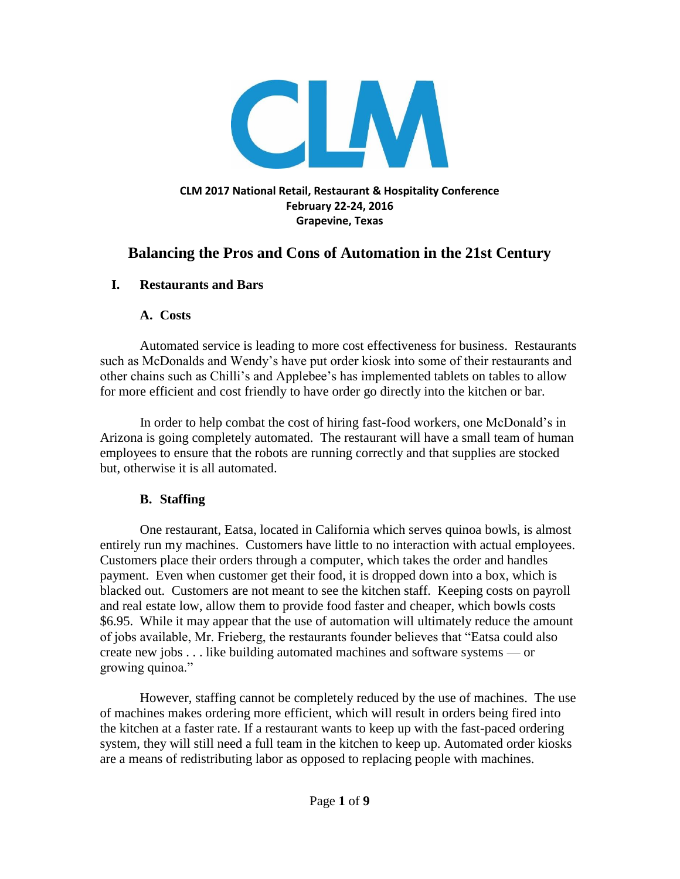

# **Balancing the Pros and Cons of Automation in the 21st Century**

#### **I. Restaurants and Bars**

#### **A. Costs**

 Automated service is leading to more cost effectiveness for business. Restaurants such as McDonalds and Wendy's have put order kiosk into some of their restaurants and other chains such as Chilli's and Applebee's has implemented tablets on tables to allow for more efficient and cost friendly to have order go directly into the kitchen or bar.

 In order to help combat the cost of hiring fast-food workers, one McDonald's in Arizona is going completely automated. The restaurant will have a small team of human employees to ensure that the robots are running correctly and that supplies are stocked but, otherwise it is all automated.

#### **B. Staffing**

 One restaurant, Eatsa, located in California which serves quinoa bowls, is almost entirely run my machines. Customers have little to no interaction with actual employees. Customers place their orders through a computer, which takes the order and handles payment. Even when customer get their food, it is dropped down into a box, which is blacked out. Customers are not meant to see the kitchen staff. Keeping costs on payroll and real estate low, allow them to provide food faster and cheaper, which bowls costs \$6.95. While it may appear that the use of automation will ultimately reduce the amount of jobs available, Mr. Frieberg, the restaurants founder believes that "Eatsa could also create new jobs . . . like building automated machines and software systems — or growing quinoa."

 However, staffing cannot be completely reduced by the use of machines. The use of machines makes ordering more efficient, which will result in orders being fired into the kitchen at a faster rate. If a restaurant wants to keep up with the fast-paced ordering system, they will still need a full team in the kitchen to keep up. Automated order kiosks are a means of redistributing labor as opposed to replacing people with machines.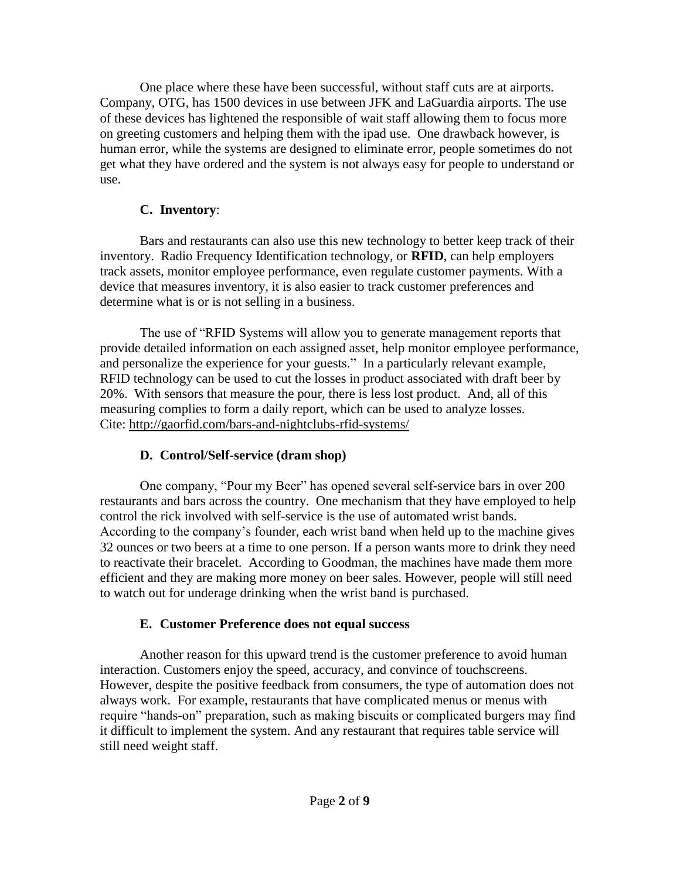One place where these have been successful, without staff cuts are at airports. Company, OTG, has 1500 devices in use between JFK and LaGuardia airports. The use of these devices has lightened the responsible of wait staff allowing them to focus more on greeting customers and helping them with the ipad use. One drawback however, is human error, while the systems are designed to eliminate error, people sometimes do not get what they have ordered and the system is not always easy for people to understand or use.

## **C. Inventory**:

Bars and restaurants can also use this new technology to better keep track of their inventory. Radio Frequency Identification technology, or **RFID**, can help employers track assets, monitor employee performance, even regulate customer payments. With a device that measures inventory, it is also easier to track customer preferences and determine what is or is not selling in a business.

The use of "RFID Systems will allow you to generate management reports that provide detailed information on each assigned asset, help monitor employee performance, and personalize the experience for your guests." In a particularly relevant example, RFID technology can be used to cut the losses in product associated with draft beer by 20%. With sensors that measure the pour, there is less lost product. And, all of this measuring complies to form a daily report, which can be used to analyze losses. Cite:<http://gaorfid.com/bars-and-nightclubs-rfid-systems/>

## **D. Control/Self-service (dram shop)**

 One company, "Pour my Beer" has opened several self-service bars in over 200 restaurants and bars across the country. One mechanism that they have employed to help control the rick involved with self-service is the use of automated wrist bands. According to the company's founder, each wrist band when held up to the machine gives 32 ounces or two beers at a time to one person. If a person wants more to drink they need to reactivate their bracelet. According to Goodman, the machines have made them more efficient and they are making more money on beer sales. However, people will still need to watch out for underage drinking when the wrist band is purchased.

## **E. Customer Preference does not equal success**

 Another reason for this upward trend is the customer preference to avoid human interaction. Customers enjoy the speed, accuracy, and convince of touchscreens. However, despite the positive feedback from consumers, the type of automation does not always work. For example, restaurants that have complicated menus or menus with require "hands-on" preparation, such as making biscuits or complicated burgers may find it difficult to implement the system. And any restaurant that requires table service will still need weight staff.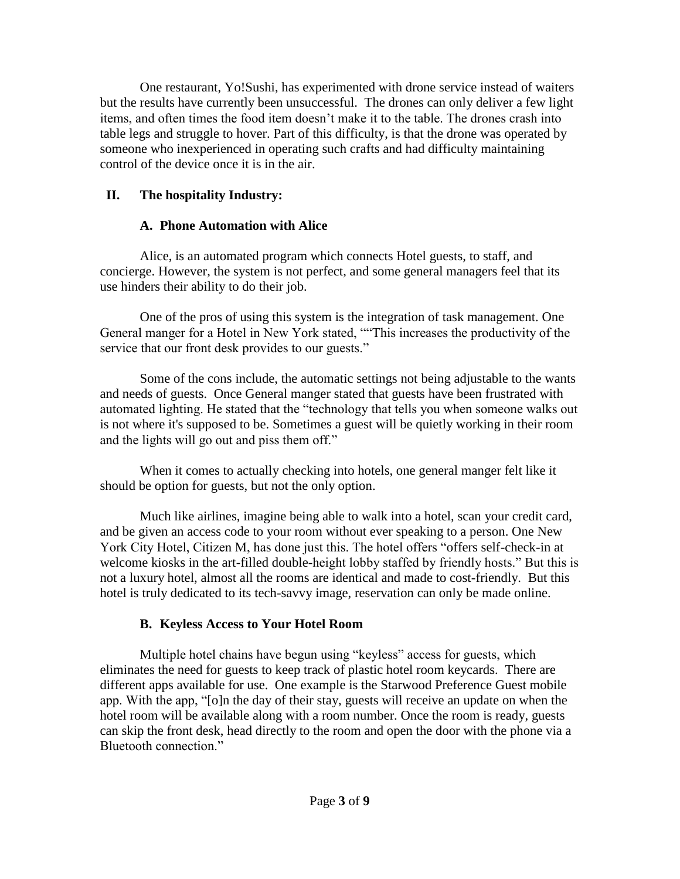One restaurant, Yo!Sushi, has experimented with drone service instead of waiters but the results have currently been unsuccessful. The drones can only deliver a few light items, and often times the food item doesn't make it to the table. The drones crash into table legs and struggle to hover. Part of this difficulty, is that the drone was operated by someone who inexperienced in operating such crafts and had difficulty maintaining control of the device once it is in the air.

## **II. The hospitality Industry:**

## **A. Phone Automation with Alice**

 Alice, is an automated program which connects Hotel guests, to staff, and concierge. However, the system is not perfect, and some general managers feel that its use hinders their ability to do their job.

 One of the pros of using this system is the integration of task management. One General manger for a Hotel in New York stated, ""This increases the productivity of the service that our front desk provides to our guests."

 Some of the cons include, the automatic settings not being adjustable to the wants and needs of guests. Once General manger stated that guests have been frustrated with automated lighting. He stated that the "technology that tells you when someone walks out is not where it's supposed to be. Sometimes a guest will be quietly working in their room and the lights will go out and piss them off."

 When it comes to actually checking into hotels, one general manger felt like it should be option for guests, but not the only option.

Much like airlines, imagine being able to walk into a hotel, scan your credit card, and be given an access code to your room without ever speaking to a person. One New York City Hotel, Citizen M, has done just this. The hotel offers "offers self-check-in at welcome kiosks in the art-filled double-height lobby staffed by friendly hosts." But this is not a luxury hotel, almost all the rooms are identical and made to cost-friendly. But this hotel is truly dedicated to its tech-savvy image, reservation can only be made online.

## **B. Keyless Access to Your Hotel Room**

 Multiple hotel chains have begun using "keyless" access for guests, which eliminates the need for guests to keep track of plastic hotel room keycards. There are different apps available for use. One example is the Starwood Preference Guest mobile app. With the app, "[o]n the day of their stay, guests will receive an update on when the hotel room will be available along with a room number. Once the room is ready, guests can skip the front desk, head directly to the room and open the door with the phone via a Bluetooth connection."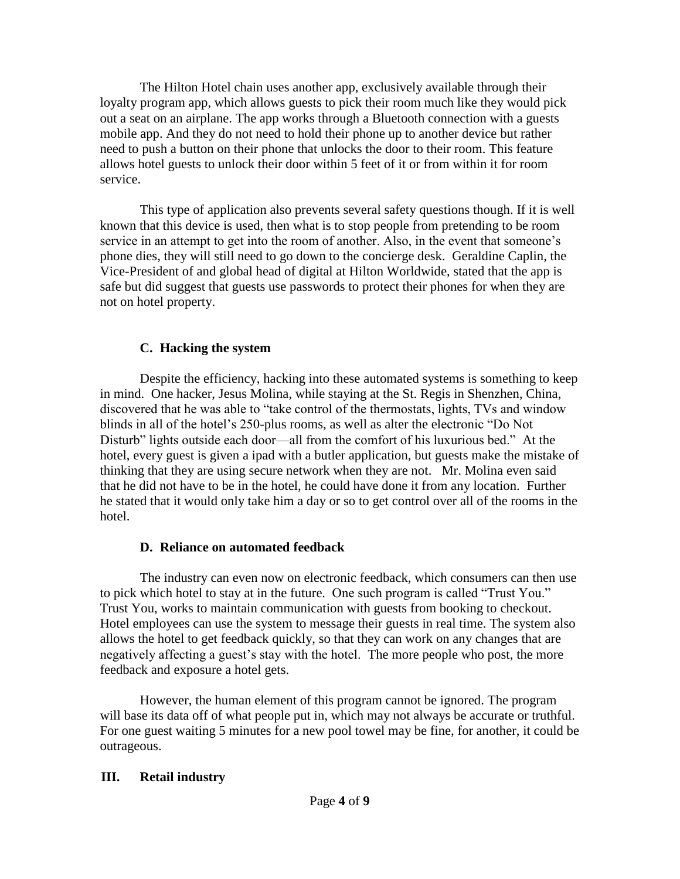The Hilton Hotel chain uses another app, exclusively available through their loyalty program app, which allows guests to pick their room much like they would pick out a seat on an airplane. The app works through a Bluetooth connection with a guests mobile app. And they do not need to hold their phone up to another device but rather need to push a button on their phone that unlocks the door to their room. This feature allows hotel guests to unlock their door within 5 feet of it or from within it for room service.

 This type of application also prevents several safety questions though. If it is well known that this device is used, then what is to stop people from pretending to be room service in an attempt to get into the room of another. Also, in the event that someone's phone dies, they will still need to go down to the concierge desk. Geraldine Caplin, the Vice-President of and global head of digital at Hilton Worldwide, stated that the app is safe but did suggest that guests use passwords to protect their phones for when they are not on hotel property.

#### **C. Hacking the system**

Despite the efficiency, hacking into these automated systems is something to keep in mind. One hacker, Jesus Molina, while staying at the St. Regis in Shenzhen, China, discovered that he was able to "take control of the thermostats, lights, TVs and window blinds in all of the hotel's 250-plus rooms, as well as alter the electronic "Do Not Disturb" lights outside each door—all from the comfort of his luxurious bed." At the hotel, every guest is given a ipad with a butler application, but guests make the mistake of thinking that they are using secure network when they are not. Mr. Molina even said that he did not have to be in the hotel, he could have done it from any location. Further he stated that it would only take him a day or so to get control over all of the rooms in the hotel.

#### **D. Reliance on automated feedback**

 The industry can even now on electronic feedback, which consumers can then use to pick which hotel to stay at in the future. One such program is called "Trust You." Trust You, works to maintain communication with guests from booking to checkout. Hotel employees can use the system to message their guests in real time. The system also allows the hotel to get feedback quickly, so that they can work on any changes that are negatively affecting a guest's stay with the hotel. The more people who post, the more feedback and exposure a hotel gets.

 However, the human element of this program cannot be ignored. The program will base its data off of what people put in, which may not always be accurate or truthful. For one guest waiting 5 minutes for a new pool towel may be fine, for another, it could be outrageous.

#### **III. Retail industry**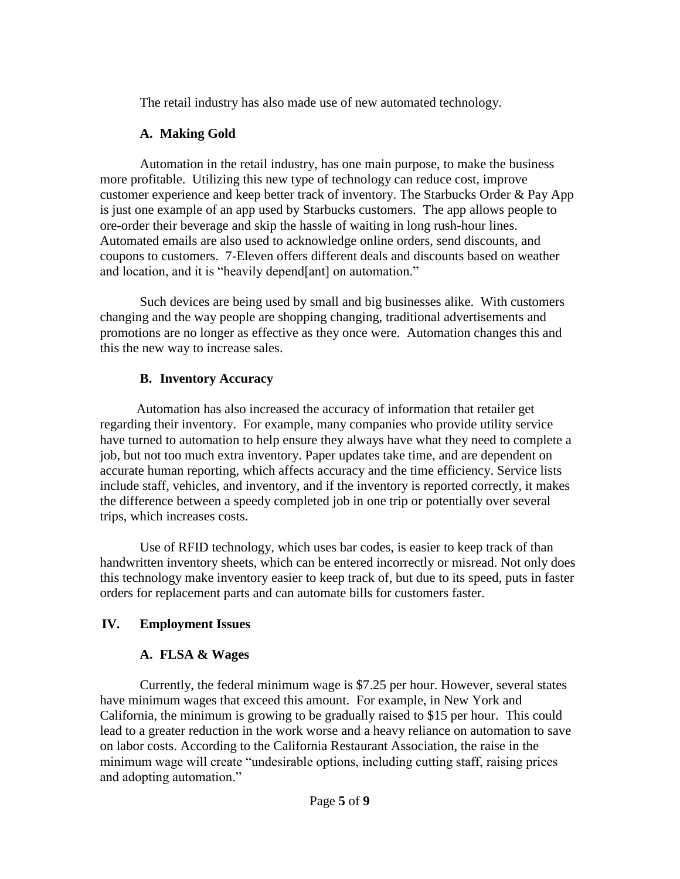The retail industry has also made use of new automated technology.

## **A. Making Gold**

Automation in the retail industry, has one main purpose, to make the business more profitable. Utilizing this new type of technology can reduce cost, improve customer experience and keep better track of inventory. The Starbucks Order & Pay App is just one example of an app used by Starbucks customers. The app allows people to ore-order their beverage and skip the hassle of waiting in long rush-hour lines. Automated emails are also used to acknowledge online orders, send discounts, and coupons to customers. 7-Eleven offers different deals and discounts based on weather and location, and it is "heavily depend[ant] on automation."

 Such devices are being used by small and big businesses alike. With customers changing and the way people are shopping changing, traditional advertisements and promotions are no longer as effective as they once were. Automation changes this and this the new way to increase sales.

# **B. Inventory Accuracy**

 Automation has also increased the accuracy of information that retailer get regarding their inventory. For example, many companies who provide utility service have turned to automation to help ensure they always have what they need to complete a job, but not too much extra inventory. Paper updates take time, and are dependent on accurate human reporting, which affects accuracy and the time efficiency. Service lists include staff, vehicles, and inventory, and if the inventory is reported correctly, it makes the difference between a speedy completed job in one trip or potentially over several trips, which increases costs.

 Use of RFID technology, which uses bar codes, is easier to keep track of than handwritten inventory sheets, which can be entered incorrectly or misread. Not only does this technology make inventory easier to keep track of, but due to its speed, puts in faster orders for replacement parts and can automate bills for customers faster.

# **IV. Employment Issues**

# **A. FLSA & Wages**

 Currently, the federal minimum wage is \$7.25 per hour. However, several states have minimum wages that exceed this amount. For example, in New York and California, the minimum is growing to be gradually raised to \$15 per hour. This could lead to a greater reduction in the work worse and a heavy reliance on automation to save on labor costs. According to the California Restaurant Association, the raise in the minimum wage will create "undesirable options, including cutting staff, raising prices and adopting automation."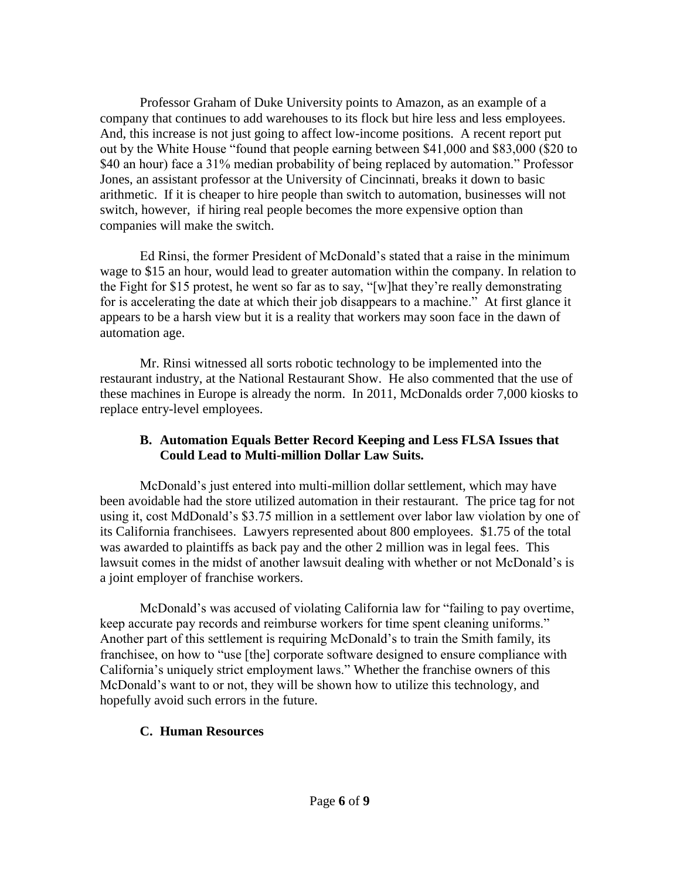Professor Graham of Duke University points to Amazon, as an example of a company that continues to add warehouses to its flock but hire less and less employees. And, this increase is not just going to affect low-income positions. A recent report put out by the White House "found that people earning between \$41,000 and \$83,000 (\$20 to \$40 an hour) face a 31% median probability of being replaced by automation." Professor Jones, an assistant professor at the University of Cincinnati, breaks it down to basic arithmetic. If it is cheaper to hire people than switch to automation, businesses will not switch, however, if hiring real people becomes the more expensive option than companies will make the switch.

Ed Rinsi, the former President of McDonald's stated that a raise in the minimum wage to \$15 an hour, would lead to greater automation within the company. In relation to the Fight for \$15 protest, he went so far as to say, "[w]hat they're really demonstrating for is accelerating the date at which their job disappears to a machine." At first glance it appears to be a harsh view but it is a reality that workers may soon face in the dawn of automation age.

Mr. Rinsi witnessed all sorts robotic technology to be implemented into the restaurant industry, at the National Restaurant Show. He also commented that the use of these machines in Europe is already the norm. In 2011, McDonalds order 7,000 kiosks to replace entry-level employees.

#### **B. Automation Equals Better Record Keeping and Less FLSA Issues that Could Lead to Multi-million Dollar Law Suits.**

McDonald's just entered into multi-million dollar settlement, which may have been avoidable had the store utilized automation in their restaurant. The price tag for not using it, cost MdDonald's \$3.75 million in a settlement over labor law violation by one of its California franchisees. Lawyers represented about 800 employees. \$1.75 of the total was awarded to plaintiffs as back pay and the other 2 million was in legal fees. This lawsuit comes in the midst of another lawsuit dealing with whether or not McDonald's is a joint employer of franchise workers.

McDonald's was accused of violating California law for "failing to pay overtime, keep accurate pay records and reimburse workers for time spent cleaning uniforms." Another part of this settlement is requiring McDonald's to train the Smith family, its franchisee, on how to "use [the] corporate software designed to ensure compliance with California's uniquely strict employment laws." Whether the franchise owners of this McDonald's want to or not, they will be shown how to utilize this technology, and hopefully avoid such errors in the future.

#### **C. Human Resources**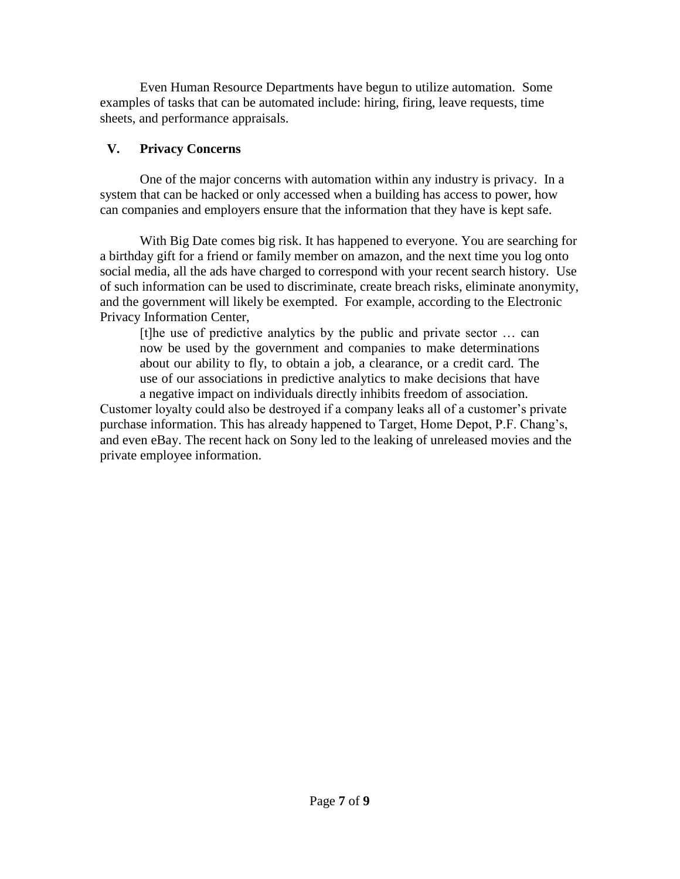Even Human Resource Departments have begun to utilize automation. Some examples of tasks that can be automated include: hiring, firing, leave requests, time sheets, and performance appraisals.

## **V. Privacy Concerns**

One of the major concerns with automation within any industry is privacy. In a system that can be hacked or only accessed when a building has access to power, how can companies and employers ensure that the information that they have is kept safe.

 With Big Date comes big risk. It has happened to everyone. You are searching for a birthday gift for a friend or family member on amazon, and the next time you log onto social media, all the ads have charged to correspond with your recent search history. Use of such information can be used to discriminate, create breach risks, eliminate anonymity, and the government will likely be exempted. For example, according to the Electronic Privacy Information Center,

[t]he use of predictive analytics by the public and private sector … can now be used by the government and companies to make determinations about our ability to fly, to obtain a job, a clearance, or a credit card. The use of our associations in predictive analytics to make decisions that have a negative impact on individuals directly inhibits freedom of association.

Customer loyalty could also be destroyed if a company leaks all of a customer's private purchase information. This has already happened to Target, Home Depot, P.F. Chang's, and even eBay. The recent hack on Sony led to the leaking of unreleased movies and the private employee information.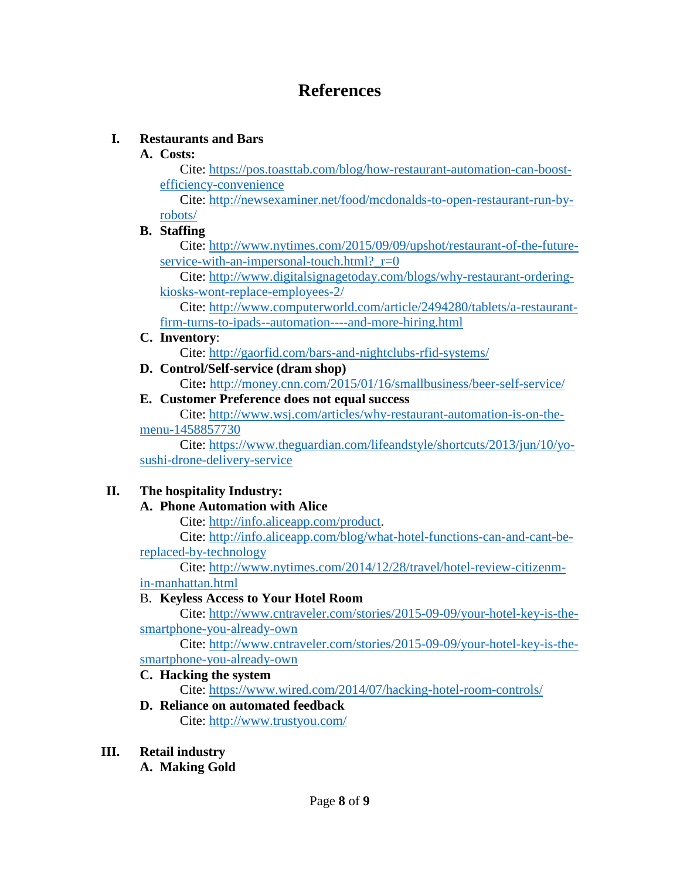# **References**

## **I. Restaurants and Bars**

#### **A. Costs:**

Cite: [https://pos.toasttab.com/blog/how-restaurant-automation-can-boost](https://pos.toasttab.com/blog/how-restaurant-automation-can-boost-efficiency-convenience)[efficiency-convenience](https://pos.toasttab.com/blog/how-restaurant-automation-can-boost-efficiency-convenience)

Cite: [http://newsexaminer.net/food/mcdonalds-to-open-restaurant-run-by](http://newsexaminer.net/food/mcdonalds-to-open-restaurant-run-by-robots/)[robots/](http://newsexaminer.net/food/mcdonalds-to-open-restaurant-run-by-robots/)

#### **B. Staffing**

Cite: [http://www.nytimes.com/2015/09/09/upshot/restaurant-of-the-future](http://www.nytimes.com/2015/09/09/upshot/restaurant-of-the-future-service-with-an-impersonal-touch.html?_r=0)service-with-an-impersonal-touch.html? $r=0$ 

Cite: [http://www.digitalsignagetoday.com/blogs/why-restaurant-ordering](http://www.digitalsignagetoday.com/blogs/why-restaurant-ordering-kiosks-wont-replace-employees-2/)[kiosks-wont-replace-employees-2/](http://www.digitalsignagetoday.com/blogs/why-restaurant-ordering-kiosks-wont-replace-employees-2/) 

Cite: [http://www.computerworld.com/article/2494280/tablets/a-restaurant](http://www.computerworld.com/article/2494280/tablets/a-restaurant-firm-turns-to-ipads--automation----and-more-hiring.html)[firm-turns-to-ipads--automation----and-more-hiring.html](http://www.computerworld.com/article/2494280/tablets/a-restaurant-firm-turns-to-ipads--automation----and-more-hiring.html)

#### **C. Inventory**:

Cite:<http://gaorfid.com/bars-and-nightclubs-rfid-systems/>

**D. Control/Self-service (dram shop)** Cite**:** <http://money.cnn.com/2015/01/16/smallbusiness/beer-self-service/>

## **E. Customer Preference does not equal success**

Cite: [http://www.wsj.com/articles/why-restaurant-automation-is-on-the](http://www.wsj.com/articles/why-restaurant-automation-is-on-the-menu-1458857730)[menu-1458857730](http://www.wsj.com/articles/why-restaurant-automation-is-on-the-menu-1458857730)

Cite: [https://www.theguardian.com/lifeandstyle/shortcuts/2013/jun/10/yo](https://www.theguardian.com/lifeandstyle/shortcuts/2013/jun/10/yo-sushi-drone-delivery-service)[sushi-drone-delivery-service](https://www.theguardian.com/lifeandstyle/shortcuts/2013/jun/10/yo-sushi-drone-delivery-service)

## **II. The hospitality Industry:**

## **A. Phone Automation with Alice**

Cite: [http://info.aliceapp.com/product.](http://info.aliceapp.com/product)

Cite: [http://info.aliceapp.com/blog/what-hotel-functions-can-and-cant-be](http://info.aliceapp.com/blog/what-hotel-functions-can-and-cant-be-replaced-by-technology)[replaced-by-technology](http://info.aliceapp.com/blog/what-hotel-functions-can-and-cant-be-replaced-by-technology)

Cite: [http://www.nytimes.com/2014/12/28/travel/hotel-review-citizenm](http://www.nytimes.com/2014/12/28/travel/hotel-review-citizenm-in-manhattan.html)[in-manhattan.html](http://www.nytimes.com/2014/12/28/travel/hotel-review-citizenm-in-manhattan.html)

#### B. **Keyless Access to Your Hotel Room**

Cite: [http://www.cntraveler.com/stories/2015-09-09/your-hotel-key-is-the](http://www.cntraveler.com/stories/2015-09-09/your-hotel-key-is-the-smartphone-you-already-own)[smartphone-you-already-own](http://www.cntraveler.com/stories/2015-09-09/your-hotel-key-is-the-smartphone-you-already-own)

Cite: [http://www.cntraveler.com/stories/2015-09-09/your-hotel-key-is-the](http://www.cntraveler.com/stories/2015-09-09/your-hotel-key-is-the-smartphone-you-already-own)[smartphone-you-already-own](http://www.cntraveler.com/stories/2015-09-09/your-hotel-key-is-the-smartphone-you-already-own)

#### **C. Hacking the system**

Cite: <https://www.wired.com/2014/07/hacking-hotel-room-controls/>

- **D. Reliance on automated feedback** Cite:<http://www.trustyou.com/>
- **III. Retail industry**
	- **A. Making Gold**